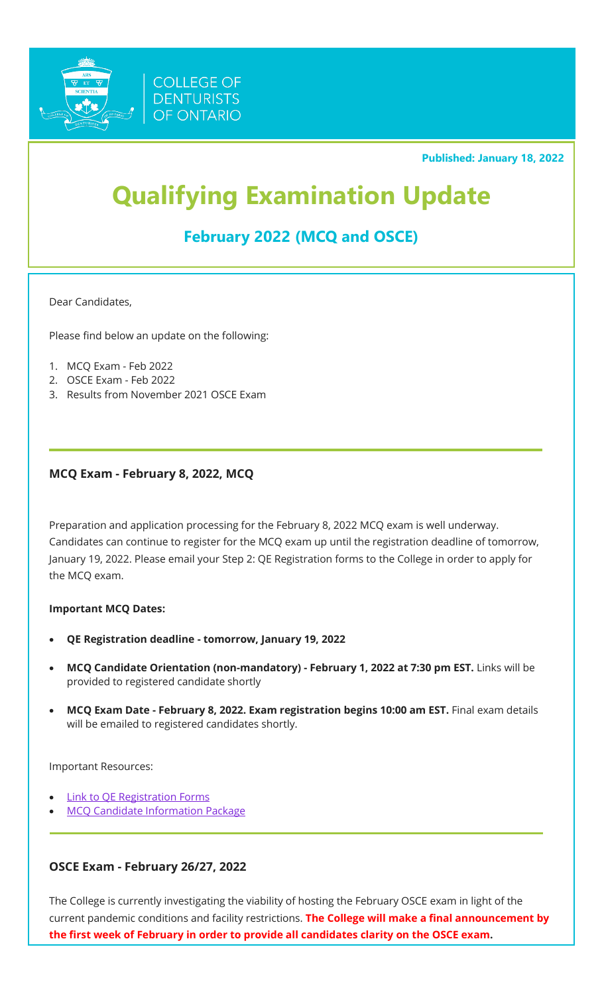

**Published: January 18, 2022**

# **Qualifying Examination Update**

## **February 2022 (MCQ and OSCE)**

Dear Candidates,

Please find below an update on the following:

- 1. MCQ Exam Feb 2022
- 2. OSCE Exam Feb 2022
- 3. Results from November 2021 OSCE Exam

#### **MCQ Exam - February 8, 2022, MCQ**

Preparation and application processing for the February 8, 2022 MCQ exam is well underway. Candidates can continue to register for the MCQ exam up until the registration deadline of tomorrow, January 19, 2022. Please email your Step 2: QE Registration forms to the College in order to apply for the MCQ exam.

#### **Important MCQ Dates:**

- **QE Registration deadline - tomorrow, January 19, 2022**
- **MCQ Candidate Orientation (non-mandatory) - February 1, 2022 at 7:30 pm EST.** Links will be provided to registered candidate shortly
- **MCQ Exam Date - February 8, 2022. Exam registration begins 10:00 am EST.** Final exam details will be emailed to registered candidates shortly.

Important Resources:

- **[Link to QE Registration Forms](https://denturists-cdo.com/Resources/Guides-Checklists-Forms-and-Documents/Qualifying-Examination/QE-Registration-Package.aspx)**
- **[MCQ Candidate Information Package](https://denturists-cdo.com/getmedia/ff5d7cc8-d904-4641-8ad9-98b26d8d147f/Winter-2021-MCQ-Candidate-Information-Package.pdf.aspx)**

#### **OSCE Exam - February 26/27, 2022**

The College is currently investigating the viability of hosting the February OSCE exam in light of the current pandemic conditions and facility restrictions. **The College will make a final announcement by the first week of February in order to provide all candidates clarity on the OSCE exam.**